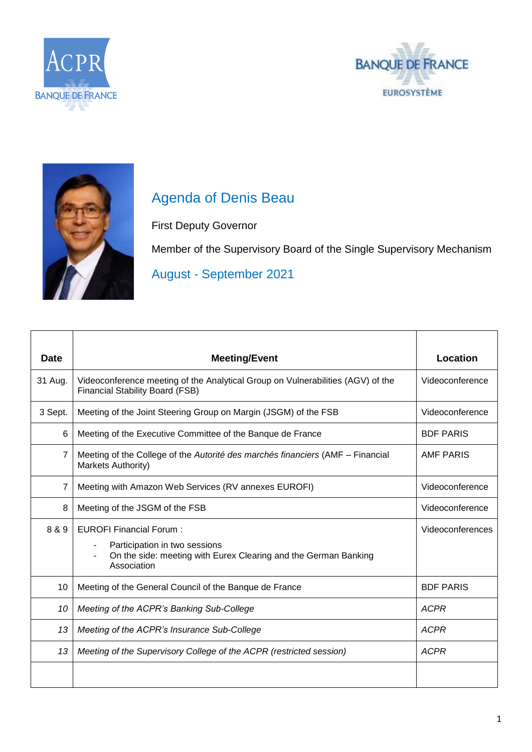





## Agenda of Denis Beau

First Deputy Governor

Member of the Supervisory Board of the Single Supervisory Mechanism

August - September 2021

| <b>Date</b> | <b>Meeting/Event</b>                                                                                                      | <b>Location</b>  |
|-------------|---------------------------------------------------------------------------------------------------------------------------|------------------|
| 31 Aug.     | Videoconference meeting of the Analytical Group on Vulnerabilities (AGV) of the<br><b>Financial Stability Board (FSB)</b> | Videoconference  |
| 3 Sept.     | Meeting of the Joint Steering Group on Margin (JSGM) of the FSB                                                           | Videoconference  |
| 6           | Meeting of the Executive Committee of the Banque de France                                                                | <b>BDF PARIS</b> |
| 7           | Meeting of the College of the Autorité des marchés financiers (AMF – Financial<br>Markets Authority)                      | <b>AMF PARIS</b> |
| 7           | Meeting with Amazon Web Services (RV annexes EUROFI)                                                                      | Videoconference  |
| 8           | Meeting of the JSGM of the FSB                                                                                            | Videoconference  |
| 8 & 9       | <b>EUROFI Financial Forum:</b>                                                                                            | Videoconferences |
|             | Participation in two sessions<br>On the side: meeting with Eurex Clearing and the German Banking<br>Association           |                  |
| 10          | Meeting of the General Council of the Banque de France                                                                    | <b>BDF PARIS</b> |
| 10          | Meeting of the ACPR's Banking Sub-College                                                                                 | <b>ACPR</b>      |
| 13          | Meeting of the ACPR's Insurance Sub-College                                                                               | <b>ACPR</b>      |
| 13          | Meeting of the Supervisory College of the ACPR (restricted session)                                                       | <b>ACPR</b>      |
|             |                                                                                                                           |                  |